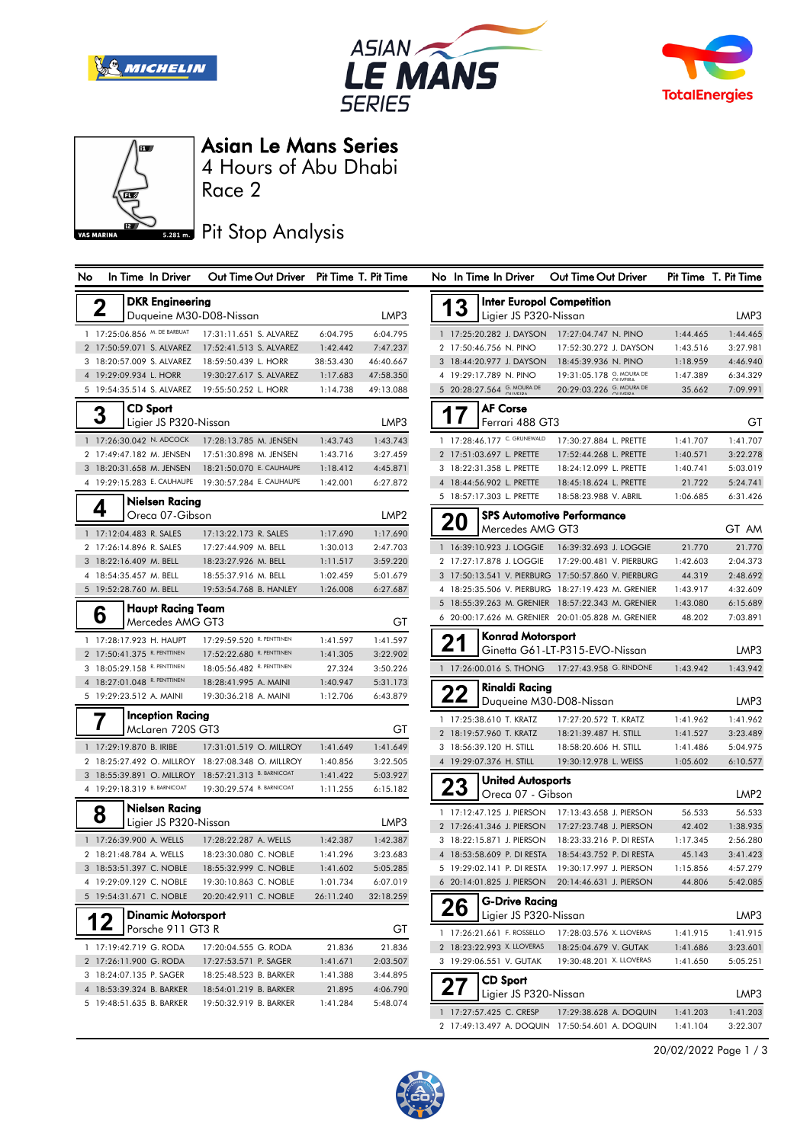







### Asian Le Mans Series

Race 2 4 Hours of Abu Dhabi

## **5.281 m.** Pit Stop Analysis

| No             |                                                                |  | In Time In Driver                                  |                                                 | Out Time Out Driver |                       | Pit Time T. Pit Time   |  |  |  |
|----------------|----------------------------------------------------------------|--|----------------------------------------------------|-------------------------------------------------|---------------------|-----------------------|------------------------|--|--|--|
|                |                                                                |  |                                                    |                                                 |                     |                       |                        |  |  |  |
|                | <b>DKR</b> Engineering<br>2<br>Duqueine M30-D08-Nissan<br>LMP3 |  |                                                    |                                                 |                     |                       |                        |  |  |  |
|                |                                                                |  |                                                    |                                                 |                     |                       |                        |  |  |  |
| 1              |                                                                |  | 17:25:06.856 M. DE BARBUAT                         | 17:31:11.651 S. ALVAREZ                         |                     | 6:04.795              | 6:04.795               |  |  |  |
| $\overline{2}$ |                                                                |  | 17:50:59.071 S. ALVAREZ<br>18:20:57.009 S. ALVAREZ | 17:52:41.513 S. ALVAREZ                         |                     | 1:42.442<br>38:53.430 | 7:47.237               |  |  |  |
| 3<br>4         |                                                                |  | 19:29:09.934 L. HORR                               | 18:59:50.439 L. HORR<br>19:30:27.617 S. ALVAREZ |                     | 1:17.683              | 46:40.667<br>47:58.350 |  |  |  |
| 5              |                                                                |  | 19:54:35.514 S. ALVAREZ                            | 19:55:50.252 L. HORR                            |                     | 1:14.738              | 49:13.088              |  |  |  |
|                |                                                                |  |                                                    |                                                 |                     |                       |                        |  |  |  |
|                | 3                                                              |  | CD Sport                                           |                                                 |                     |                       |                        |  |  |  |
|                |                                                                |  | Ligier JS P320-Nissan                              |                                                 |                     |                       | LMP3                   |  |  |  |
| 1              |                                                                |  | 17:26:30.042 N. ADCOCK                             | 17:28:13.785 M. JENSEN                          |                     | 1:43.743              | 1:43.743               |  |  |  |
| $\overline{2}$ |                                                                |  | 17:49:47.182 M. JENSEN                             | 17:51:30.898 M. JENSEN                          |                     | 1:43.716              | 3:27.459               |  |  |  |
| 3              |                                                                |  | 18:20:31.658 M. JENSEN                             | 18:21:50.070 E. CAUHAUPE                        |                     | 1:18.412              | 4:45.871               |  |  |  |
| 4              |                                                                |  | 19:29:15.283 E. CAUHAUPE                           | 19:30:57.284 E. CAUHAUPE                        |                     | 1:42.001              | 6:27.872               |  |  |  |
|                | 4                                                              |  | Nielsen Racing                                     |                                                 |                     |                       |                        |  |  |  |
|                |                                                                |  | Oreca 07-Gibson                                    |                                                 |                     |                       | LMP2                   |  |  |  |
| $\mathbf{1}$   |                                                                |  | 17:12:04.483 R. SALES                              | 17:13:22.173 R. SALES                           |                     | 1:17.690              | 1:17.690               |  |  |  |
| $\overline{2}$ |                                                                |  | 17:26:14.896 R. SALES                              | 17:27:44.909 M. BELL                            |                     | 1:30.013              | 2:47.703               |  |  |  |
| 3              |                                                                |  | 18:22:16.409 M. BELL                               | 18:23:27.926 M. BELL                            |                     | 1:11.517              | 3:59.220               |  |  |  |
| 4              |                                                                |  | 18:54:35.457 M. BELL                               | 18:55:37.916 M. BELL                            |                     | 1:02.459              | 5:01.679               |  |  |  |
| 5              |                                                                |  | 19:52:28.760 M. BELL                               | 19:53:54.768 B. HANLEY                          |                     | 1:26.008              | 6:27.687               |  |  |  |
|                |                                                                |  | <b>Haupt Racing Team</b>                           |                                                 |                     |                       |                        |  |  |  |
|                | 6                                                              |  | Mercedes AMG GT3                                   |                                                 |                     |                       | GТ                     |  |  |  |
| 1              |                                                                |  | 17:28:17.923 H. HAUPT                              | 17:29:59.520 R. PENTTINEN                       |                     | 1:41.597              | 1:41.597               |  |  |  |
| $\overline{2}$ |                                                                |  | 17:50:41.375 R. PENTTINEN                          | 17:52:22.680 R. PENTTINEN                       |                     | 1:41.305              | 3:22.902               |  |  |  |
| 3              |                                                                |  | 18:05:29.158 R. PENTTINEN                          | 18:05:56.482 R. PENTTINEN                       |                     | 27.324                | 3:50.226               |  |  |  |
| 4              |                                                                |  | 18:27:01.048 R. PENTTINEN                          | 18:28:41.995 A. MAINI                           |                     | 1:40.947              | 5:31.173               |  |  |  |
| 5              |                                                                |  | 19:29:23.512 A. MAINI                              | 19:30:36.218 A. MAINI                           |                     | 1:12.706              | 6:43.879               |  |  |  |
|                |                                                                |  | Inception Racing                                   |                                                 |                     |                       |                        |  |  |  |
|                |                                                                |  | McLaren 720S GT3                                   |                                                 |                     |                       | GТ                     |  |  |  |
| $\mathbf{1}$   |                                                                |  | 17:29:19.870 B. IRIBE                              | 17:31:01.519 O. MILLROY                         |                     | 1:41.649              | 1:41.649               |  |  |  |
| 2              |                                                                |  | 18:25:27.492 O. MILLROY                            | 18:27:08.348 O. MILLROY                         |                     | 1:40.856              | 3:22.505               |  |  |  |
| 3              |                                                                |  | 18:55:39.891 O. MILLROY                            | 18:57:21.313 B. BARNICOAT                       |                     | 1:41.422              | 5:03.927               |  |  |  |
| 4              |                                                                |  | 19:29:18.319 B. BARNICOAT                          | 19:30:29.574 B. BARNICOAT                       |                     | 1:11.255              | 6:15.182               |  |  |  |
|                |                                                                |  |                                                    |                                                 |                     |                       |                        |  |  |  |
|                | 8                                                              |  | Nielsen Racing<br>Ligier JS P320-Nissan            |                                                 |                     |                       | LMP3                   |  |  |  |
|                |                                                                |  |                                                    |                                                 |                     |                       |                        |  |  |  |
| 1              |                                                                |  | 17:26:39.900 A. WELLS                              | 17:28:22.287 A. WELLS                           |                     | 1:42.387              | 1:42.387               |  |  |  |
| 2              |                                                                |  | 18:21:48.784 A. WELLS                              | 18:23:30.080 C. NOBLE                           |                     | 1:41.296              | 3:23.683               |  |  |  |
|                |                                                                |  | 3 18:53:51.397 C. NOBLE                            | 18:55:32.999 C. NOBLE<br>19-30-10 863 C NOBLE   |                     | 1:41.602              | 5:05.285               |  |  |  |
| 5              |                                                                |  | 19:29:09.129 C. NOBLE<br>19:54:31.671 C. NOBLE     | 20:20:42.911 C. NOBLE                           |                     | 1:01.734<br>26:11.240 | 6:07.019<br>32:18.259  |  |  |  |
|                |                                                                |  |                                                    |                                                 |                     |                       |                        |  |  |  |
|                |                                                                |  | <b>Dinamic Motorsport</b><br>Porsche 911 GT3 R     |                                                 |                     |                       | GТ                     |  |  |  |
| 1              |                                                                |  | 17:19:42.719 G. RODA                               | 17:20:04.555 G. RODA                            |                     | 21.836                | 21.836                 |  |  |  |
| $\overline{2}$ |                                                                |  | 17:26:11.900 G. RODA                               | 17:27:53.571 P. SAGER                           |                     | 1:41.671              | 2:03.507               |  |  |  |
|                |                                                                |  | 3 18:24:07.135 P. SAGER                            | 18:25:48.523 B. BARKER                          |                     | 1:41.388              | 3:44.895               |  |  |  |
|                |                                                                |  | 4 18:53:39.324 B. BARKER                           | 18:54:01.219 B. BARKER                          |                     | 21.895                | 4:06.790               |  |  |  |
|                |                                                                |  | 5 19:48:51.635 B. BARKER                           | 19:50:32.919 B. BARKER                          |                     | 1:41.284              | 5:48.074               |  |  |  |
|                |                                                                |  |                                                    |                                                 |                     |                       |                        |  |  |  |

| No             | In Time In Driver                 | Out Time Out Driver               |                      | Pit Time T. Pit Time |
|----------------|-----------------------------------|-----------------------------------|----------------------|----------------------|
|                |                                   | <b>Inter Europol Competition</b>  |                      |                      |
|                | Ligier JS P320-Nissan             |                                   |                      | LMP3                 |
| $\mathbf{1}$   | 17:25:20.282 J. DAYSON            | 17:27:04.747 N. PINO              | 1:44.465             | 1:44.465             |
| 2              | 17:50:46.756 N. PINO              | 17:52:30.272 J. DAYSON            | 1:43.516             | 3:27.981             |
| 3              | 18:44:20.977 J. DAYSON            | 18:45:39.936 N. PINO              | 1:18.959             | 4:46.940             |
| 4              | 19:29:17.789 N. PINO              | 19:31:05.178 G. MOURA DE          | 1:47.389             | 6:34.329             |
| 5              | 20:28:27.564 G. MOURA DE          | 20:29:03.226 G. MOURA DE          | 35.662               | 7:09.991             |
|                | <b>AF Corse</b>                   |                                   |                      |                      |
|                | Ferrari 488 GT3                   |                                   |                      | GТ                   |
| 1              | 17:28:46.177 C. GRUNEWALD         | 17:30:27.884 L. PRETTE            | 1:41.707             | 1:41.707             |
| $\overline{2}$ | 17:51:03.697 L. PRETTE            | 17:52:44.268 L. PRETTE            | 1:40.571             | 3:22.278             |
| 3              | 18:22:31.358 L. PRETTE            | 18:24:12.099 L. PRETTE            | 1:40.741             | 5:03.019             |
| 4              | 18:44:56.902 L. PRETTE            | 18:45:18.624 L. PRETTE            | 21.722               | 5:24.741             |
| 5              | 18:57:17.303 L. PRETTE            | 18:58:23.988 V. ABRIL             | 1:06.685             | 6:31.426             |
| 20             |                                   | <b>SPS Automotive Performance</b> |                      |                      |
|                | Mercedes AMG GT3                  |                                   |                      | GT AM                |
| $\mathbf{1}$   | 16:39:10.923 J. LOGGIE            | 16:39:32.693 J. LOGGIE            | 21.770               | 21.770               |
| 2              | 17:27:17.878 J. LOGGIE            | 17:29:00.481 V. PIERBURG          | 1:42.603             | 2:04.373             |
| 3              | 17:50:13.541 V. PIERBURG          | 17:50:57.860 V. PIERBURG          | 44.319               | 2:48.692             |
| 4              | 18:25:35.506 V. PIERBURG          | 18:27:19.423 M. GRENIER           | 1:43.917             | 4:32.609             |
| 5              | 18:55:39.263 M. GRENIER           | 18:57:22.343 M. GRENIER           | 1:43.080             | 6:15.689             |
| 6              | 20:00:17.626 M. GRENIER           | 20:01:05.828 M. GRENIER           | 48.202               | 7:03.891             |
|                | Konrad Motorsport                 |                                   |                      |                      |
| 2              |                                   | Ginetta G61-LT-P315-EVO-Nissan    |                      | LMP3                 |
|                | 17:26:00.016 S. THONG             | 17:27:43.958 G. RINDONE           | 1:43.942             | 1:43.942             |
|                | Rinaldi Racing                    |                                   |                      |                      |
|                |                                   | Duqueine M30-D08-Nissan           |                      | LMP3                 |
| 1              | 17:25:38.610 T. KRATZ             | 17:27:20.572 T. KRATZ             | 1:41.962             | 1:41.962             |
| $\overline{2}$ | 18:19:57.960 T. KRATZ             | 18:21:39.487 H. STILL             | 1:41.527             | 3:23.489             |
| 3              | 18:56:39.120 H. STILL             | 18:58:20.606 H. STILL             | 1:41.486             | 5:04.975             |
| 4              | 19:29:07.376 H. STILL             | 19:30:12.978 L. WEISS             | 1:05.602             | 6:10.577             |
|                | United Autosports                 |                                   |                      |                      |
|                | Oreca 07 - Gibson                 |                                   |                      | LMP2                 |
| 1              | 17:12:47.125 J. PIERSON           | 17:13:43.658 J. PIERSON           | 56.533               | 56.533               |
| $\overline{2}$ | 17:26:41.346 J. PIERSON           | 17:27:23.748 J. PIERSON           | 42.402               | 1:38.935             |
| 3              | 18:22:15.871 J. PIERSON           | 18:23:33.216 P. DI RESTA          | 1:17.345             | 2:56.280             |
| 4              | 18:53:58.609 P. DI RESTA          | 18:54:43.752 P. DI RESTA          | 45.143               | 3:41.423             |
| 5              | 19:29:02.141 P. DI RESTA          | 19:30:17.997 J. PIERSON           | 1:15.856             | 4:57.279             |
| 6              | 20:14:01.825 J. PIERSON           | 20:14:46.631 J. PIERSON           | 44.806               | 5:42.085             |
|                | G-Drive Racing                    |                                   |                      |                      |
| 26             | Ligier JS P320-Nissan             |                                   |                      | LMP3                 |
|                | 17:26:21.661 F. ROSSELLO          | 17:28:03.576 X. LLOVERAS          |                      |                      |
| 1              | 18:23:22.993 X. LLOVERAS          | 18:25:04.679 V. GUTAK             | 1:41.915<br>1:41.686 | 1:41.915<br>3:23.601 |
| 3              | 19:29:06.551 V. GUTAK             | 19:30:48.201 X. LLOVERAS          | 1:41.650             | 5:05.251             |
|                |                                   |                                   |                      |                      |
|                | CD Sport<br>Ligier JS P320-Nissan |                                   |                      |                      |
|                |                                   |                                   |                      | LMP3                 |
|                | 17:27:57.425 C. CRESP             | 17:29:38.628 A. DOQUIN            | 1:41.203             | 1:41.203             |
| 2              | 17:49:13.497 A. DOQUIN            | 17:50:54.601 A. DOQUIN            | 1:41.104             | 3:22.307             |

20/02/2022 Page 1 / 3

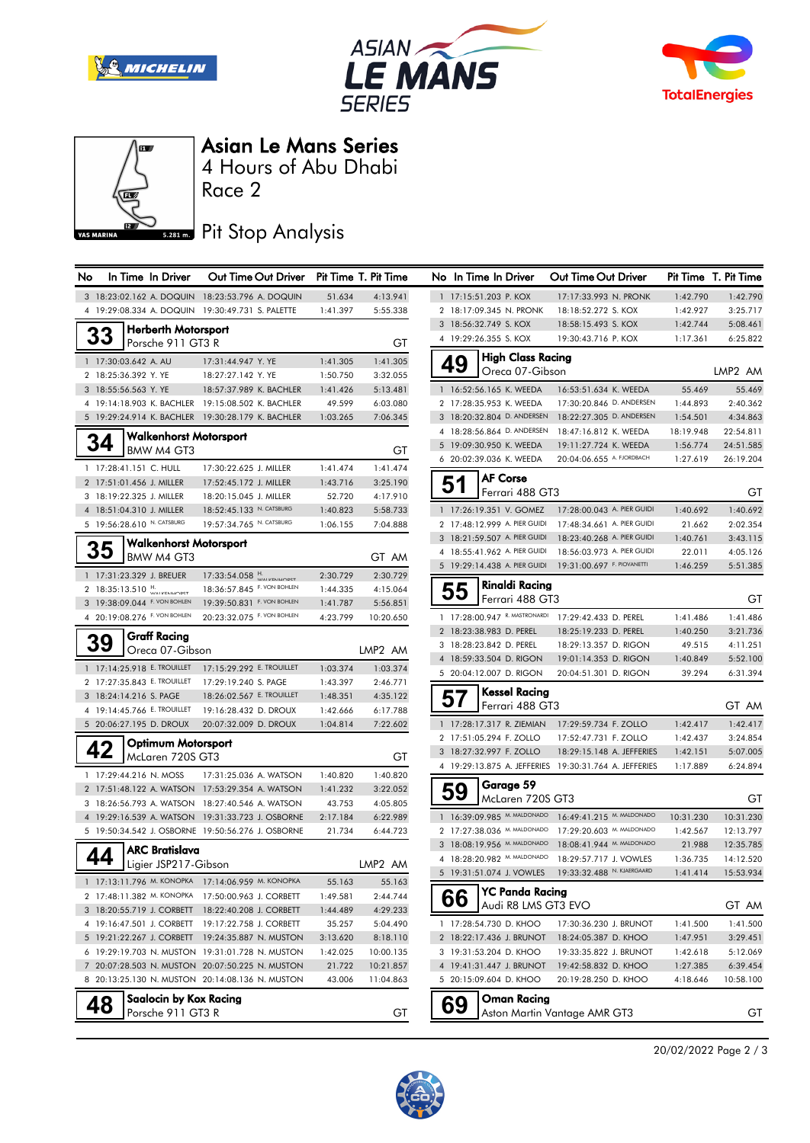







#### Asian Le Mans Series

Race 2 4 Hours of Abu Dhabi

### Pit Stop Analysis

| <b>No</b> | In Time In Driver                                    | Out Time Out Driver Pit Time T. Pit Time           |                    |                      | No In Time In Driver                               | Out Time Out Driver                                   |                    | Pit Time T. Pit Time |
|-----------|------------------------------------------------------|----------------------------------------------------|--------------------|----------------------|----------------------------------------------------|-------------------------------------------------------|--------------------|----------------------|
|           |                                                      | 3 18:23:02.162 A. DOQUIN 18:23:53.796 A. DOQUIN    | 51.634             | 4:13.941             | 1 17:15:51.203 P. KOX                              | 17:17:33.993 N. PRONK                                 | 1:42.790           | 1:42.790             |
|           | 4 19:29:08.334 A. DOQUIN 19:30:49.731 S. PALETTE     |                                                    | 1:41.397           | 5:55.338             | 2 18:17:09.345 N. PRONK                            | 18:18:52.272 S. KOX                                   | 1:42.927           | 3:25.717             |
|           | <b>Herberth Motorsport</b>                           |                                                    |                    |                      | 3 18:56:32.749 S. KOX                              | 18:58:15.493 S. KOX                                   | 1:42.744           | 5:08.461             |
|           | 33<br>Porsche 911 GT3 R                              |                                                    |                    | GТ                   | 4 19:29:26.355 S. KOX                              | 19:30:43.716 P. KOX                                   | 1:17.361           | 6:25.822             |
|           | 1 17:30:03.642 A. AU                                 | 17:31:44.947 Y. YE                                 | 1:41.305           | 1:41.305             | <b>High Class Racing</b>                           |                                                       |                    |                      |
|           | 2 18:25:36.392 Y. YE                                 | 18:27:27.142 Y. YE                                 | 1:50.750           | 3:32.055             | 49<br>Oreca 07-Gibson                              |                                                       |                    | LMP2 AM              |
|           | 3 18:55:56.563 Y. YE                                 | 18:57:37.989 K. BACHLER                            | 1:41.426           | 5:13.481             | 1 16:52:56.165 K. WEEDA                            | 16:53:51.634 K. WEEDA                                 | 55.469             | 55.469               |
|           |                                                      | 4 19:14:18.903 K. BACHLER 19:15:08.502 K. BACHLER  | 49.599             | 6:03.080             | 2 17:28:35.953 K. WEEDA                            | 17:30:20.846 D. ANDERSEN                              | 1:44.893           | 2:40.362             |
|           |                                                      | 5 19:29:24.914 K. BACHLER 19:30:28.179 K. BACHLER  | 1:03.265           | 7:06.345             | 3 18:20:32.804 D. ANDERSEN                         | 18:22:27.305 D. ANDERSEN                              | 1:54.501           | 4:34.863             |
|           | <b>Walkenhorst Motorsport</b>                        |                                                    |                    |                      | 4 18:28:56.864 D. ANDERSEN                         | 18:47:16.812 K. WEEDA                                 | 18:19.948          | 22:54.811            |
|           | 34<br>BMW M4 GT3                                     |                                                    |                    | GТ                   | 5 19:09:30.950 K. WEEDA                            | 19:11:27.724 K. WEEDA                                 | 1:56.774           | 24:51.585            |
|           | 1 17:28:41.151 C. HULL                               |                                                    |                    |                      | 6 20:02:39.036 K. WEEDA                            | 20:04:06.655 A. FJORDBACH                             | 1:27.619           | 26:19.204            |
|           |                                                      | 17:30:22.625 J. MILLER                             | 1:41.474           | 1:41.474             | <b>AF Corse</b>                                    |                                                       |                    |                      |
|           | 2 17:51:01.456 J. MILLER<br>3 18:19:22.325 J. MILLER | 17:52:45.172 J. MILLER<br>18:20:15.045 J. MILLER   | 1:43.716<br>52.720 | 3:25.190<br>4:17.910 | 51<br>Ferrari 488 GT3                              |                                                       |                    | GТ                   |
|           | 4 18:51:04.310 J. MILLER                             | 18:52:45.133 N. CATSBURG                           | 1:40.823           | 5:58.733             | 1 17:26:19.351 V. GOMEZ                            | 17:28:00.043 A. PIER GUIDI                            | 1:40.692           | 1:40.692             |
|           | 5 19:56:28.610 N. CATSBURG                           | 19:57:34.765 N. CATSBURG                           | 1:06.155           | 7:04.888             | 2 17:48:12.999 A. PIER GUIDI                       | 17:48:34.661 A. PIER GUIDI                            | 21.662             | 2:02.354             |
|           |                                                      |                                                    |                    |                      | 3 18:21:59.507 A. PIER GUIDI                       | 18:23:40.268 A. PIER GUIDI                            | 1:40.761           | 3:43.115             |
|           | <b>Walkenhorst Motorsport</b><br>35                  |                                                    |                    |                      | 4 18:55:41.962 A. PIER GUIDI                       | 18:56:03.973 A. PIER GUIDI                            | 22.011             | 4:05.126             |
|           | BMW M4 GT3                                           |                                                    |                    | GT AM                | 5 19:29:14.438 A. PIER GUIDI                       | 19:31:00.697 F. PIOVANETTI                            | 1:46.259           | 5:51.385             |
|           | 1 17:31:23.329 J. BREUER                             | $17:33:54.058$ $\frac{H}{WAYD}$                    | 2:30.729           | 2:30.729             | <b>Rinaldi Racing</b>                              |                                                       |                    |                      |
|           | 2 18:35:13.510 M                                     | 18:36:57.845 F. VON BOHLEN                         | 1:44.335           | 4:15.064             | 55<br>Ferrari 488 GT3                              |                                                       |                    | GТ                   |
|           | 3 19:38:09.044 F. VON BOHLEN                         | 19:39:50.831 F. VON BOHLEN                         | 1:41.787           | 5:56.851             |                                                    |                                                       |                    |                      |
|           | 4 20:19:08.276 F. VON BOHLEN                         | 20:23:32.075 F. VON BOHLEN                         | 4:23.799           | 10:20.650            |                                                    | 1 17:28:00.947 R. MASTRONARDI 17:29:42.433 D. PEREL   | 1:41.486           | 1:41.486             |
|           | <b>Graff Racing</b><br>39                            |                                                    |                    |                      | 2 18:23:38.983 D. PEREL                            | 18:25:19.233 D. PEREL                                 | 1:40.250           | 3:21.736             |
|           | Oreca 07-Gibson                                      |                                                    |                    | LMP2 AM              | 3 18:28:23.842 D. PEREL<br>4 18:59:33.504 D. RIGON | 18:29:13.357 D. RIGON<br>19:01:14.353 D. RIGON        | 49.515<br>1:40.849 | 4:11.251<br>5:52.100 |
|           | 1 17:14:25.918 E. TROUILLET                          | 17:15:29.292 E. TROUILLET                          | 1:03.374           | 1:03.374             | 5 20:04:12.007 D. RIGON                            | 20:04:51.301 D. RIGON                                 | 39.294             | 6:31.394             |
|           | 2 17:27:35.843 E. TROUILLET                          | 17:29:19.240 S. PAGE                               | 1:43.397           | 2:46.771             |                                                    |                                                       |                    |                      |
|           | 3 18:24:14.216 S. PAGE                               | 18:26:02.567 E. TROUILLET                          | 1:48.351           | 4:35.122             | <b>Kessel Racing</b><br>57                         |                                                       |                    |                      |
|           | 4 19:14:45.766 E. TROUILLET                          | 19:16:28.432 D. DROUX                              | 1:42.666           | 6:17.788             | Ferrari 488 GT3                                    |                                                       |                    | GT AM                |
|           | 5 20:06:27.195 D. DROUX                              | 20:07:32.009 D. DROUX                              | 1:04.814           | 7:22.602             | 1 17:28:17.317 R. ZIEMIAN                          | 17:29:59.734 F. ZOLLO                                 | 1:42.417           | 1:42.417             |
|           | Optimum Motorsport                                   |                                                    |                    |                      | 2 17:51:05.294 F. ZOLLO                            | 17:52:47.731 F. ZOLLO                                 | 1:42.437           | 3:24.854             |
|           | 42<br>McLaren 720S GT3                               |                                                    |                    | GТ                   | 3 18:27:32.997 F. ZOLLO                            | 18:29:15.148 A. JEFFERIES                             | 1:42.151           | 5:07.005             |
|           | 1 17:29:44.216 N. MOSS                               | 17:31:25.036 A. WATSON                             | 1:40.820           | 1:40.820             |                                                    | 4 19:29:13.875 A. JEFFERIES 19:30:31.764 A. JEFFERIES | 1:17.889           | 6:24.894             |
|           |                                                      | 2 17:51:48.122 A. WATSON 17:53:29.354 A. WATSON    | 1:41.232           | 3:22.052             | Garage 59<br>59                                    |                                                       |                    |                      |
|           |                                                      | 3 18:26:56.793 A. WATSON 18:27:40.546 A. WATSON    | 43.753             | 4:05.805             | McLaren 720S GT3                                   |                                                       |                    | GТ                   |
|           |                                                      | 4 19:29:16.539 A. WATSON 19:31:33.723 J. OSBORNE   | 2:17.184           | 6:22.989             | 1 16:39:09.985 M. MALDONADO                        | 16:49:41.215 M. MALDONADO                             | 10:31.230          | 10:31.230            |
|           |                                                      | 5 19:50:34.542 J. OSBORNE 19:50:56.276 J. OSBORNE  | 21.734             | 6:44.723             | 2 17:27:38.036 M. MALDONADO                        | 17:29:20.603 M. MALDONADO                             | 1:42.567           | 12:13.797            |
|           | <b>ARC Bratislava</b>                                |                                                    |                    |                      | 3 18:08:19.956 M. MALDONADO                        | 18:08:41.944 M. MALDONADO                             | 21.988             | 12:35.785            |
|           | 44<br>Ligier JSP217-Gibson                           |                                                    |                    | LMP2 AM              | 4 18:28:20.982 M. MALDONADO                        | 18:29:57.717 J. VOWLES                                | 1:36.735           | 14:12.520            |
|           |                                                      | 1 17:13:11.796 M. KONOPKA 17:14:06.959 M. KONOPKA  | 55.163             | 55.163               | 5 19:31:51.074 J. VOWLES                           | 19:33:32.488 N. KJAERGAARD                            | 1:41.414           | 15:53.934            |
|           |                                                      | 2 17:48:11.382 M. KONOPKA 17:50:00.963 J. CORBETT  | 1:49.581           | 2:44.744             | <b>YC Panda Racing</b>                             |                                                       |                    |                      |
|           |                                                      | 3 18:20:55.719 J. CORBETT  18:22:40.208 J. CORBETT | 1:44.489           | 4:29.233             | 66<br>Audi R8 LMS GT3 EVO                          |                                                       |                    | GT AM                |
|           |                                                      | 4 19:16:47.501 J. CORBETT  19:17:22.758 J. CORBETT | 35.257             | 5:04.490             | 1 17:28:54.730 D. KHOO                             | 17:30:36.230 J. BRUNOT                                | 1:41.500           | 1:41.500             |
|           |                                                      | 5 19:21:22.267 J. CORBETT 19:24:35.887 N. MUSTON   | 3:13.620           | 8:18.110             | 2 18:22:17.436 J. BRUNOT                           | 18:24:05.387 D. KHOO                                  | 1:47.951           | 3:29.451             |
|           |                                                      | 6 19:29:19.703 N. MUSTON 19:31:01.728 N. MUSTON    | 1:42.025           | 10:00.135            | 3 19:31:53.204 D. KHOO                             | 19:33:35.822 J. BRUNOT                                | 1:42.618           | 5:12.069             |
|           |                                                      | 7 20:07:28.503 N. MUSTON 20:07:50.225 N. MUSTON    | 21.722             | 10:21.857            | 4 19:41:31.447 J. BRUNOT                           | 19:42:58.832 D. KHOO                                  | 1:27.385           | 6:39.454             |
|           |                                                      | 8 20:13:25.130 N. MUSTON 20:14:08.136 N. MUSTON    | 43.006             | 11:04.863            | 5 20:15:09.604 D. KHOO                             | 20:19:28.250 D. KHOO                                  | 4:18.646           | 10:58.100            |
|           | <b>Saalocin by Kox Racing</b>                        |                                                    |                    |                      |                                                    |                                                       |                    |                      |
|           | 48<br>Porsche 911 GT3 R                              |                                                    |                    | GT                   | Oman Racing<br>69                                  | Aston Martin Vantage AMR GT3                          |                    | GТ                   |
|           |                                                      |                                                    |                    |                      |                                                    |                                                       |                    |                      |